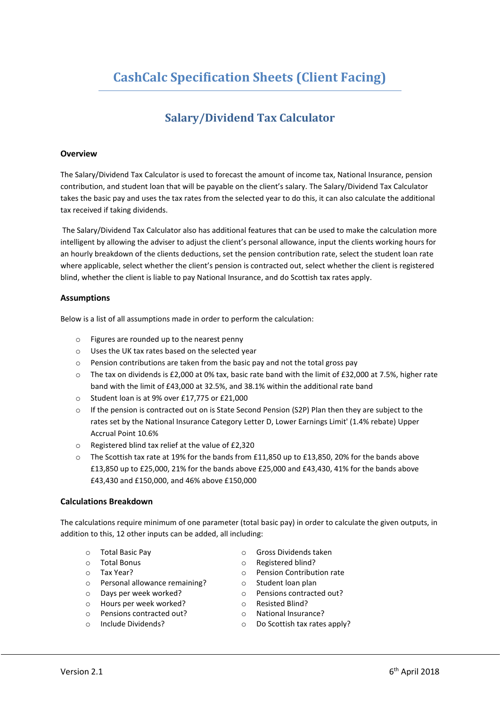# **Salary/Dividend Tax Calculator**

# **Overview**

The Salary/Dividend Tax Calculator is used to forecast the amount of income tax, National Insurance, pension contribution, and student loan that will be payable on the client's salary. The Salary/Dividend Tax Calculator takes the basic pay and uses the tax rates from the selected year to do this, it can also calculate the additional tax received if taking dividends.

The Salary/Dividend Tax Calculator also has additional features that can be used to make the calculation more intelligent by allowing the adviser to adjust the client's personal allowance, input the clients working hours for an hourly breakdown of the clients deductions, set the pension contribution rate, select the student loan rate where applicable, select whether the client's pension is contracted out, select whether the client is registered blind, whether the client is liable to pay National Insurance, and do Scottish tax rates apply.

# **Assumptions**

Below is a list of all assumptions made in order to perform the calculation:

- o Figures are rounded up to the nearest penny
- o Uses the UK tax rates based on the selected year
- o Pension contributions are taken from the basic pay and not the total gross pay
- o The tax on dividends is £2,000 at 0% tax, basic rate band with the limit of £32,000 at 7.5%, higher rate band with the limit of £43,000 at 32.5%, and 38.1% within the additional rate band
- o Student loan is at 9% over £17,775 or £21,000
- $\circ$  If the pension is contracted out on is State Second Pension (S2P) Plan then they are subject to the rates set by the National Insurance Category Letter D, Lower Earnings Limit' (1.4% rebate) Upper Accrual Point 10.6%
- o Registered blind tax relief at the value of £2,320
- o The Scottish tax rate at 19% for the bands from £11,850 up to £13,850, 20% for the bands above £13,850 up to £25,000, 21% for the bands above £25,000 and £43,430, 41% for the bands above £43,430 and £150,000, and 46% above £150,000

## **Calculations Breakdown**

The calculations require minimum of one parameter (total basic pay) in order to calculate the given outputs, in addition to this, 12 other inputs can be added, all including:

- o Total Basic Pay
- o Total Bonus
- o Tax Year?
- o Personal allowance remaining?
- o Days per week worked?
- o Hours per week worked?
- o Pensions contracted out?
- o Include Dividends?
- o Gross Dividends taken
- o Registered blind?
- o Pension Contribution rate
- o Student loan plan
- o Pensions contracted out?
- o Resisted Blind?
- o National Insurance?
- o Do Scottish tax rates apply?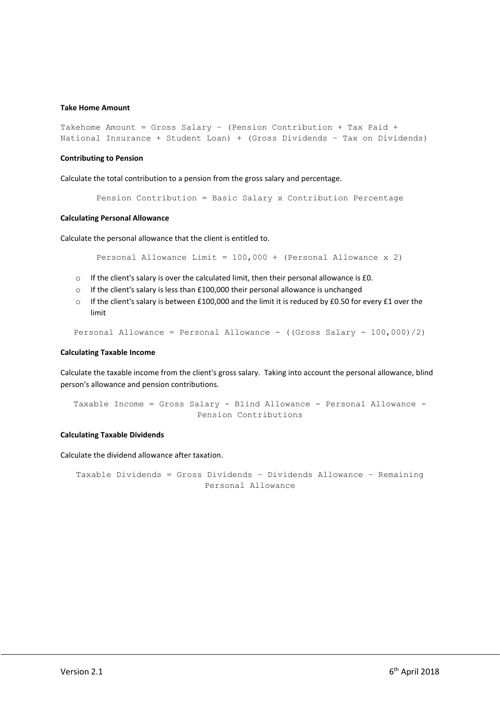## **Take Home Amount**

```
Takehome Amount = Gross Salary – (Pension Contribution + Tax Paid +
National Insurance + Student Loan) + (Gross Dividends – Tax on Dividends)
```
#### **Contributing to Pension**

Calculate the total contribution to a pension from the gross salary and percentage.

```
Pension Contribution = Basic Salary x Contribution Percentage
```
#### **Calculating Personal Allowance**

Calculate the personal allowance that the client is entitled to.

Personal Allowance Limit = 100,000 + (Personal Allowance x 2)

- o If the client's salary is over the calculated limit, then their personal allowance is £0.
- o If the client's salary is less than £100,000 their personal allowance is unchanged
- $\circ$  If the client's salary is between £100,000 and the limit it is reduced by £0.50 for every £1 over the limit

```
Personal Allowance = Personal Allowance - ((Gross Salary - 100,000)/2)
```
#### **Calculating Taxable Income**

Calculate the taxable income from the client's gross salary. Taking into account the personal allowance, blind person's allowance and pension contributions.

Taxable Income = Gross Salary - Blind Allowance - Personal Allowance - Pension Contributions

## **Calculating Taxable Dividends**

Calculate the dividend allowance after taxation.

Taxable Dividends = Gross Dividends – Dividends Allowance – Remaining Personal Allowance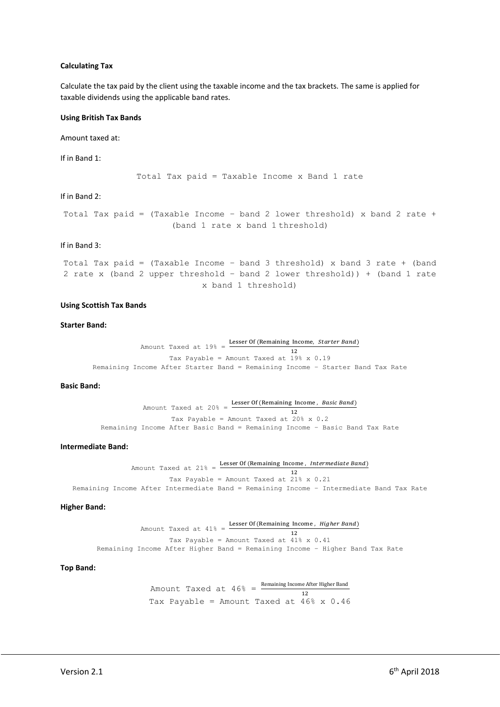## **Calculating Tax**

Calculate the tax paid by the client using the taxable income and the tax brackets. The same is applied for taxable dividends using the applicable band rates.

## **Using British Tax Bands**

Amount taxed at:

If in Band 1:

Total Tax paid = Taxable Income x Band 1 rate

If in Band 2:

Total Tax paid = (Taxable Income – band 2 lower threshold) x band 2 rate + (band 1 rate x band 1 threshold)

#### If in Band 3:

```
Total Tax paid = (Taxable Income – band 3 threshold) x band 3 rate + (band 
2 rate x (band 2 upper threshold – band 2 lower threshold)) + (band 1 rate 
                           x band 1 threshold)
```
#### **Using Scottish Tax Bands**

## **Starter Band:**

```
Amount Taxed at 19\% = Lesser Of (Remaining Income, Starter Band)
                                                    12
                   Tax Payable = Amount Taxed at 19% x 0.19
Remaining Income After Starter Band = Remaining Income – Starter Band Tax Rate
```
#### **Basic Band:**

Amount Taxed at  $20\% =$  Lesser Of (Remaining Income, Basic Band) 12 Tax Payable = Amount Taxed at 20% x 0.2 Remaining Income After Basic Band = Remaining Income – Basic Band Tax Rate

## **Intermediate Band:**

```
Amount Taxed at 21\% = Lesser Of (Remaining Income, Intermediate Band)
                                                         12
                        Tax Payable = Amount Taxed at 21% x 0.21
Remaining Income After Intermediate Band = Remaining Income – Intermediate Band Tax Rate
```
#### **Higher Band:**

Amount Taxed at  $41\%$  = Lesser Of (Remaining Income, *Higher Band*) 12 Tax Payable = Amount Taxed at 41% x 0.41 Remaining Income After Higher Band = Remaining Income – Higher Band Tax Rate

#### **Top Band:**

Amount Taxed at  $46\% = \frac{\text{Remaining Income After Higher Band}}{12}$ Tax Payable = Amount Taxed at  $46\% \times 0.46$